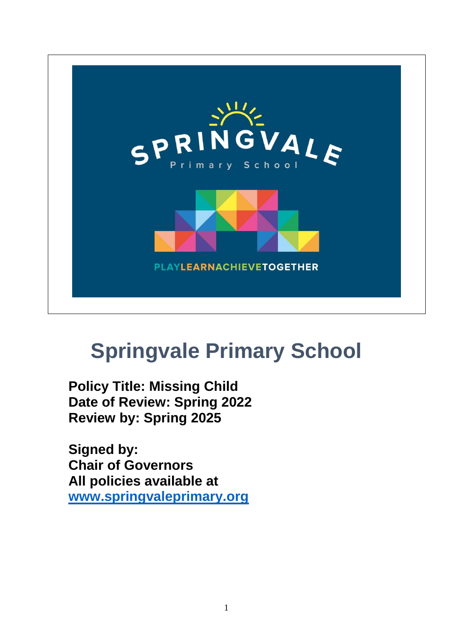

# **Springvale Primary School**

**Policy Title: Missing Child Date of Review: Spring 2022 Review by: Spring 2025**

**Signed by: Chair of Governors All policies available at [www.springvaleprimary.org](http://www.springvaleprimary.org/)**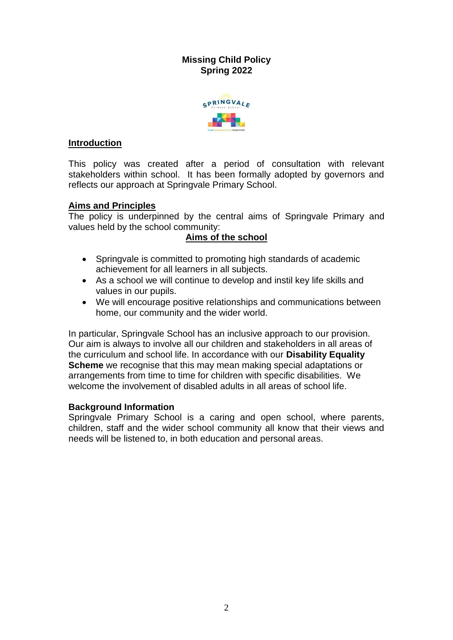# **Missing Child Policy Spring 2022**



#### **Introduction**

This policy was created after a period of consultation with relevant stakeholders within school. It has been formally adopted by governors and reflects our approach at Springvale Primary School.

## **Aims and Principles**

The policy is underpinned by the central aims of Springvale Primary and values held by the school community:

#### **Aims of the school**

- Springvale is committed to promoting high standards of academic achievement for all learners in all subjects.
- As a school we will continue to develop and instil key life skills and values in our pupils.
- We will encourage positive relationships and communications between home, our community and the wider world.

In particular, Springvale School has an inclusive approach to our provision. Our aim is always to involve all our children and stakeholders in all areas of the curriculum and school life. In accordance with our **Disability Equality Scheme** we recognise that this may mean making special adaptations or arrangements from time to time for children with specific disabilities. We welcome the involvement of disabled adults in all areas of school life.

#### **Background Information**

Springvale Primary School is a caring and open school, where parents, children, staff and the wider school community all know that their views and needs will be listened to, in both education and personal areas.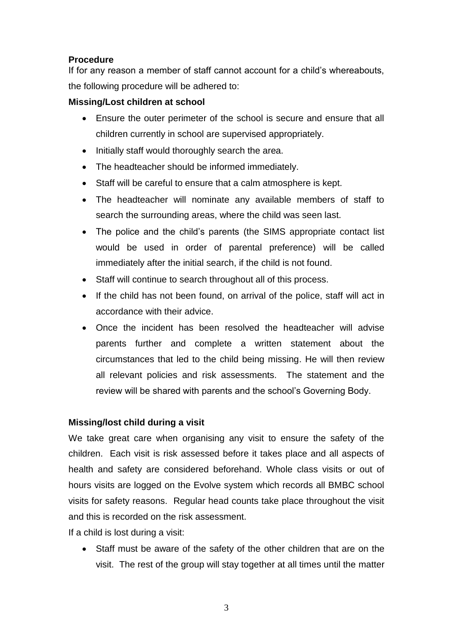# **Procedure**

If for any reason a member of staff cannot account for a child's whereabouts, the following procedure will be adhered to:

# **Missing/Lost children at school**

- Ensure the outer perimeter of the school is secure and ensure that all children currently in school are supervised appropriately.
- Initially staff would thoroughly search the area.
- The headteacher should be informed immediately.
- Staff will be careful to ensure that a calm atmosphere is kept.
- The headteacher will nominate any available members of staff to search the surrounding areas, where the child was seen last.
- The police and the child's parents (the SIMS appropriate contact list would be used in order of parental preference) will be called immediately after the initial search, if the child is not found.
- Staff will continue to search throughout all of this process.
- If the child has not been found, on arrival of the police, staff will act in accordance with their advice.
- Once the incident has been resolved the headteacher will advise parents further and complete a written statement about the circumstances that led to the child being missing. He will then review all relevant policies and risk assessments. The statement and the review will be shared with parents and the school's Governing Body.

## **Missing/lost child during a visit**

We take great care when organising any visit to ensure the safety of the children. Each visit is risk assessed before it takes place and all aspects of health and safety are considered beforehand. Whole class visits or out of hours visits are logged on the Evolve system which records all BMBC school visits for safety reasons. Regular head counts take place throughout the visit and this is recorded on the risk assessment.

If a child is lost during a visit:

 Staff must be aware of the safety of the other children that are on the visit. The rest of the group will stay together at all times until the matter